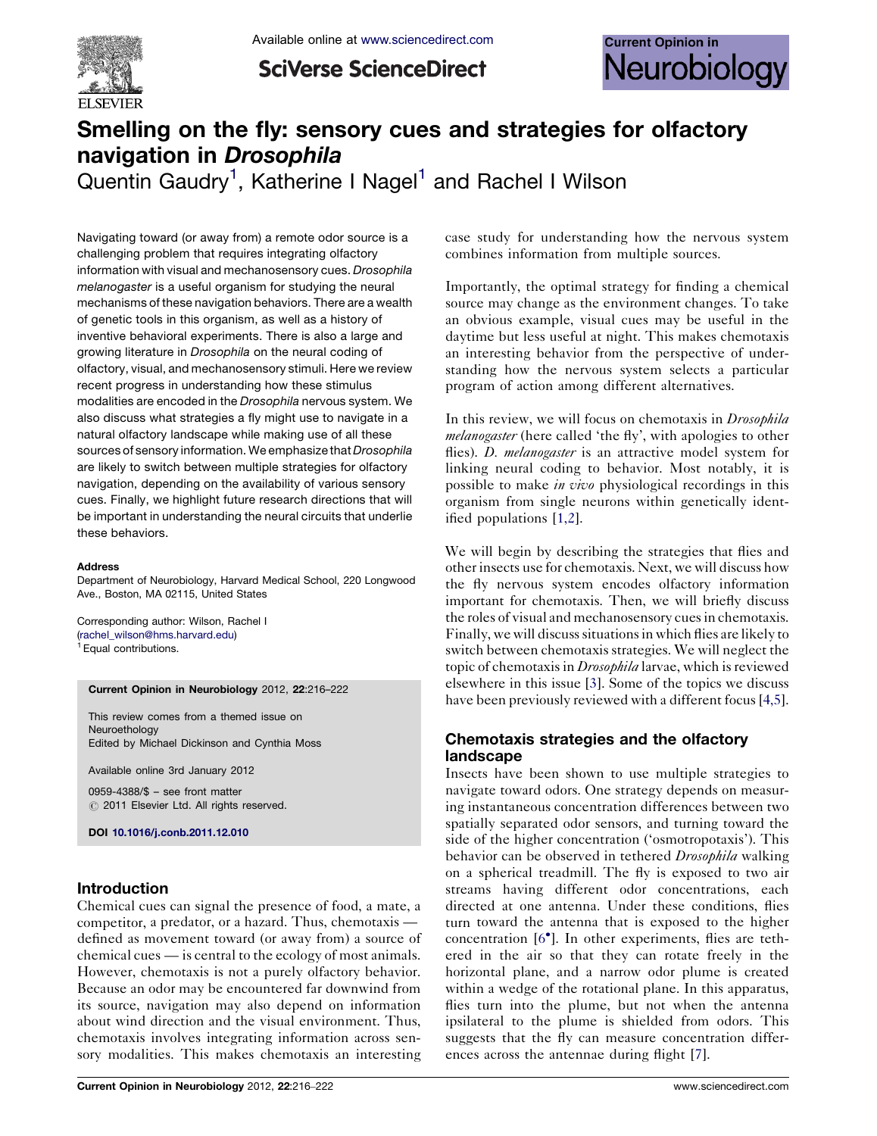

**SciVerse ScienceDirect** 



# Smelling on the fly: sensory cues and strategies for olfactory navigation in Drosophila

Quentin Gaudry<sup>1</sup>, Katherine I Nagel<sup>1</sup> and Rachel I Wilson

Navigating toward (or away from) a remote odor source is a challenging problem that requires integrating olfactory information with visual and mechanosensory cues. Drosophila melanogaster is a useful organism for studying the neural mechanisms of these navigation behaviors. There are a wealth of genetic tools in this organism, as well as a history of inventive behavioral experiments. There is also a large and growing literature in Drosophila on the neural coding of olfactory, visual, and mechanosensory stimuli. Here we review recent progress in understanding how these stimulus modalities are encoded in the Drosophila nervous system. We also discuss what strategies a fly might use to navigate in a natural olfactory landscape while making use of all these sources of sensory information. We emphasize that Drosophila are likely to switch between multiple strategies for olfactory navigation, depending on the availability of various sensory cues. Finally, we highlight future research directions that will be important in understanding the neural circuits that underlie these behaviors.

#### Address

Department of Neurobiology, Harvard Medical School, 220 Longwood Ave., Boston, MA 02115, United States

Corresponding author: Wilson, Rachel I ([rachel\\_wilson@hms.harvard.edu\)](mailto:rachel_wilson@hms.harvard.edu) <sup>1</sup> Equal contributions.

Current Opinion in Neurobiology 2012, 22:216–222

This review comes from a themed issue on Neuroethology Edited by Michael Dickinson and Cynthia Moss

Available online 3rd January 2012

0959-4388/\$ – see front matter  $\oslash$  2011 Elsevier Ltd. All rights reserved.

DOI [10.1016/j.conb.2011.12.010](http://dx.doi.org/10.1016/j.conb.2011.12.010)

## Introduction

Chemical cues can signal the presence of food, a mate, a competitor, a predator, or a hazard. Thus, chemotaxis defined as movement toward (or away from) a source of chemical cues — is central to the ecology of most animals. However, chemotaxis is not a purely olfactory behavior. Because an odor may be encountered far downwind from its source, navigation may also depend on information about wind direction and the visual environment. Thus, chemotaxis involves integrating information across sensory modalities. This makes chemotaxis an interesting

case study for understanding how the nervous system combines information from multiple sources.

Importantly, the optimal strategy for finding a chemical source may change as the environment changes. To take an obvious example, visual cues may be useful in the daytime but less useful at night. This makes chemotaxis an interesting behavior from the perspective of understanding how the nervous system selects a particular program of action among different alternatives.

In this review, we will focus on chemotaxis in *Drosophila* melanogaster (here called 'the fly', with apologies to other flies). *D. melanogaster* is an attractive model system for linking neural coding to behavior. Most notably, it is possible to make in vivo physiological recordings in this organism from single neurons within genetically identified populations [\[1,2\]](#page-4-0).

We will begin by describing the strategies that flies and other insects use for chemotaxis. Next, we will discuss how the fly nervous system encodes olfactory information important for chemotaxis. Then, we will briefly discuss the roles of visual and mechanosensory cuesin chemotaxis. Finally, we will discuss situations in which flies are likely to switch between chemotaxis strategies. We will neglect the topic of chemotaxis in *Drosophila* larvae, which is reviewed elsewhere in this issue [\[3\]](#page-4-0). Some of the topics we discuss have been previously reviewed with a different focus [\[4,5\]](#page-4-0).

## Chemotaxis strategies and the olfactory landscape

Insects have been shown to use multiple strategies to navigate toward odors. One strategy depends on measuring instantaneous concentration differences between two spatially separated odor sensors, and turning toward the side of the higher concentration ('osmotropotaxis'). This behavior can be observed in tethered *Drosophila* walking on a spherical treadmill. The fly is exposed to two air streams having different odor concentrations, each directed at one antenna. Under these conditions, flies turn toward the antenna that is exposed to the higher concentration [\[6](#page-4-0)<sup>°</sup>]. In other experiments, flies are tethered in the air so that they can rotate freely in the horizontal plane, and a narrow odor plume is created within a wedge of the rotational plane. In this apparatus, flies turn into the plume, but not when the antenna ipsilateral to the plume is shielded from odors. This suggests that the fly can measure concentration differ-ences across the antennae during flight [[7\]](#page-4-0).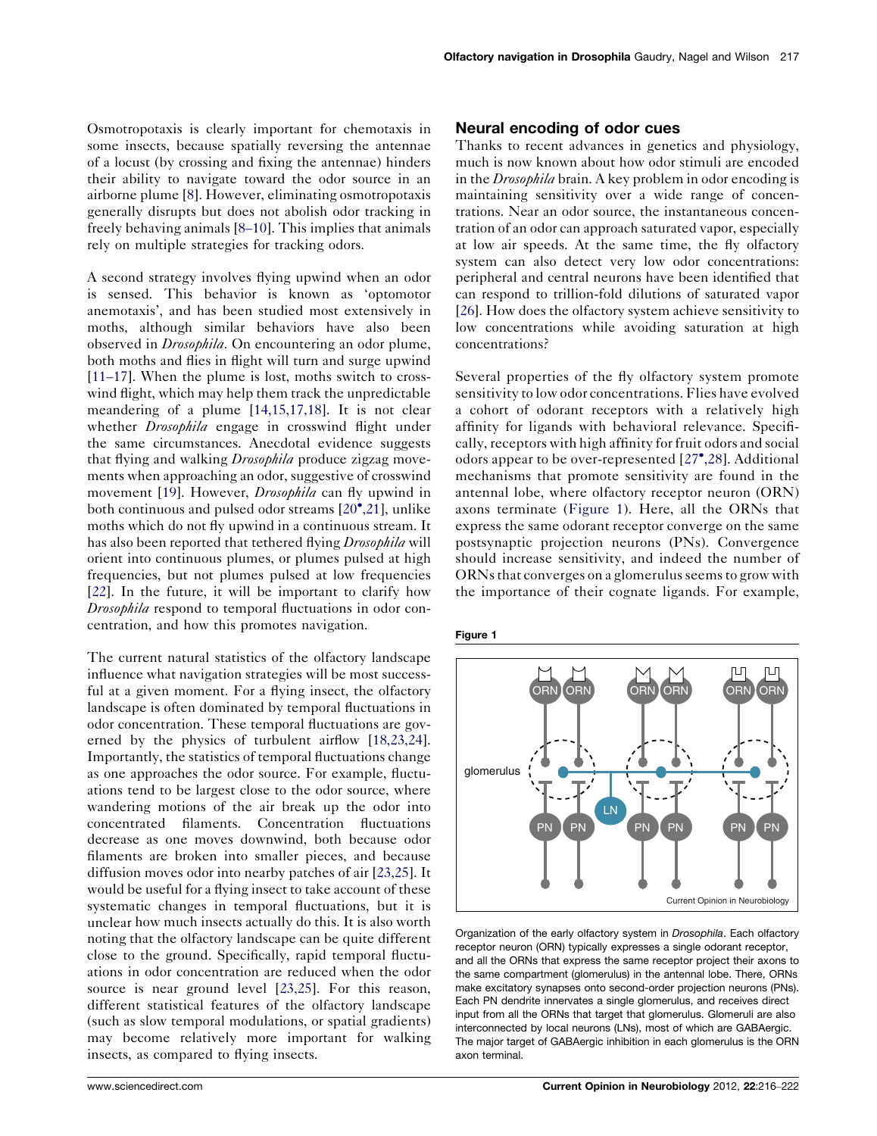Osmotropotaxis is clearly important for chemotaxis in some insects, because spatially reversing the antennae of a locust (by crossing and fixing the antennae) hinders their ability to navigate toward the odor source in an airborne plume [[8\]](#page-4-0). However, eliminating osmotropotaxis generally disrupts but does not abolish odor tracking in freely behaving animals [8–[10](#page-4-0)]. This implies that animals rely on multiple strategies for tracking odors.

A second strategy involves flying upwind when an odor is sensed. This behavior is known as 'optomotor anemotaxis', and has been studied most extensively in moths, although similar behaviors have also been observed in *Drosophila*. On encountering an odor plume, both moths and flies in flight will turn and surge upwind [\[11](#page-4-0)–17]. When the plume is lost, moths switch to crosswind flight, which may help them track the unpredictable meandering of a plume [\[14,15,17,18\]](#page-4-0). It is not clear whether *Drosophila* engage in crosswind flight under the same circumstances. Anecdotal evidence suggests that flying and walking *Drosophila* produce zigzag movements when approaching an odor, suggestive of crosswind movement [\[19](#page-5-0)]. However, *Drosophila* can fly upwind in both continuous and pulsed odor streams [[20](#page-5-0)<sup>°</sup>[,21\]](#page-5-0), unlike moths which do not fly upwind in a continuous stream. It has also been reported that tethered flying *Drosophila* will orient into continuous plumes, or plumes pulsed at high frequencies, but not plumes pulsed at low frequencies [\[22](#page-5-0)]. In the future, it will be important to clarify how *Drosophila* respond to temporal fluctuations in odor concentration, and how this promotes navigation.

The current natural statistics of the olfactory landscape influence what navigation strategies will be most successful at a given moment. For a flying insect, the olfactory landscape is often dominated by temporal fluctuations in odor concentration. These temporal fluctuations are governed by the physics of turbulent airflow [\[18,23,24](#page-5-0)]. Importantly, the statistics of temporal fluctuations change as one approaches the odor source. For example, fluctuations tend to be largest close to the odor source, where wandering motions of the air break up the odor into concentrated filaments. Concentration fluctuations decrease as one moves downwind, both because odor filaments are broken into smaller pieces, and because diffusion moves odor into nearby patches of air [\[23,25\]](#page-5-0). It would be useful for a flying insect to take account of these systematic changes in temporal fluctuations, but it is unclear how much insects actually do this. It is also worth noting that the olfactory landscape can be quite different close to the ground. Specifically, rapid temporal fluctuations in odor concentration are reduced when the odor source is near ground level [[23,25\]](#page-5-0). For this reason, different statistical features of the olfactory landscape (such as slow temporal modulations, or spatial gradients) may become relatively more important for walking insects, as compared to flying insects.

#### Neural encoding of odor cues

Thanks to recent advances in genetics and physiology, much is now known about how odor stimuli are encoded in the *Drosophila* brain. A key problem in odor encoding is maintaining sensitivity over a wide range of concentrations. Near an odor source, the instantaneous concentration of an odor can approach saturated vapor, especially at low air speeds. At the same time, the fly olfactory system can also detect very low odor concentrations: peripheral and central neurons have been identified that can respond to trillion-fold dilutions of saturated vapor [[26](#page-5-0)]. How does the olfactory system achieve sensitivity to low concentrations while avoiding saturation at high concentrations?

Several properties of the fly olfactory system promote sensitivity to low odor concentrations. Flies have evolved a cohort of odorant receptors with a relatively high affinity for ligands with behavioral relevance. Specifically, receptors with high affinity for fruit odors and social odors appear to be over-represented [[27](#page-5-0)<sup>°</sup>[,28\]](#page-5-0). Additional mechanisms that promote sensitivity are found in the antennal lobe, where olfactory receptor neuron (ORN) axons terminate (Figure 1). Here, all the ORNs that express the same odorant receptor converge on the same postsynaptic projection neurons (PNs). Convergence should increase sensitivity, and indeed the number of ORNsthat converges on a glomerulusseemsto grow with the importance of their cognate ligands. For example,





Organization of the early olfactory system in Drosophila. Each olfactory receptor neuron (ORN) typically expresses a single odorant receptor, and all the ORNs that express the same receptor project their axons to the same compartment (glomerulus) in the antennal lobe. There, ORNs make excitatory synapses onto second-order projection neurons (PNs). Each PN dendrite innervates a single glomerulus, and receives direct input from all the ORNs that target that glomerulus. Glomeruli are also interconnected by local neurons (LNs), most of which are GABAergic. The major target of GABAergic inhibition in each glomerulus is the ORN axon terminal.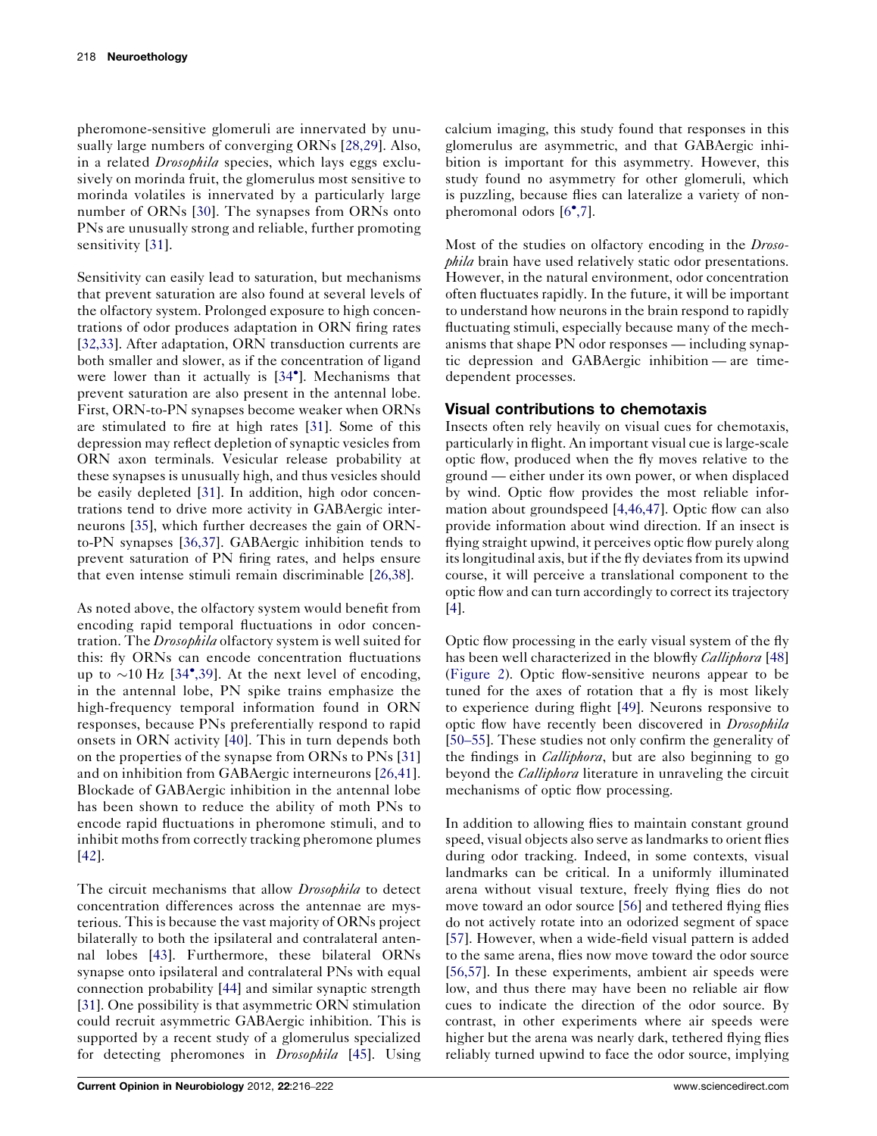pheromone-sensitive glomeruli are innervated by unusually large numbers of converging ORNs [\[28,29](#page-5-0)]. Also, in a related *Drosophila* species, which lays eggs exclusively on morinda fruit, the glomerulus most sensitive to morinda volatiles is innervated by a particularly large number of ORNs [\[30\]](#page-5-0). The synapses from ORNs onto PNs are unusually strong and reliable, further promoting sensitivity [[31\]](#page-5-0).

Sensitivity can easily lead to saturation, but mechanisms that prevent saturation are also found at several levels of the olfactory system. Prolonged exposure to high concentrations of odor produces adaptation in ORN firing rates [\[32,33\]](#page-5-0). After adaptation, ORN transduction currents are both smaller and slower, as if the concentration of ligand were lower than it actually is [[34](#page-5-0)<sup>°</sup>]. Mechanisms that prevent saturation are also present in the antennal lobe. First, ORN-to-PN synapses become weaker when ORNs are stimulated to fire at high rates [[31\]](#page-5-0). Some of this depression may reflect depletion of synaptic vesicles from ORN axon terminals. Vesicular release probability at these synapses is unusually high, and thus vesicles should be easily depleted [[31\]](#page-5-0). In addition, high odor concentrations tend to drive more activity in GABAergic interneurons [\[35](#page-5-0)], which further decreases the gain of ORNto-PN synapses [\[36,37\]](#page-5-0). GABAergic inhibition tends to prevent saturation of PN firing rates, and helps ensure that even intense stimuli remain discriminable [\[26,38\]](#page-5-0).

As noted above, the olfactory system would benefit from encoding rapid temporal fluctuations in odor concentration. The Drosophila olfactory system is well suited for this: fly ORNs can encode concentration fluctuations up to  $\sim$ 10 Hz [\[34](#page-5-0)°[,39\]](#page-5-0). At the next level of encoding, in the antennal lobe, PN spike trains emphasize the high-frequency temporal information found in ORN responses, because PNs preferentially respond to rapid onsets in ORN activity [\[40](#page-5-0)]. This in turn depends both on the properties of the synapse from ORNs to PNs [[31\]](#page-5-0) and on inhibition from GABAergic interneurons [\[26,41](#page-5-0)]. Blockade of GABAergic inhibition in the antennal lobe has been shown to reduce the ability of moth PNs to encode rapid fluctuations in pheromone stimuli, and to inhibit moths from correctly tracking pheromone plumes [\[42](#page-5-0)].

The circuit mechanisms that allow *Drosophila* to detect concentration differences across the antennae are mysterious. This is because the vast majority of ORNs project bilaterally to both the ipsilateral and contralateral antennal lobes [\[43](#page-5-0)]. Furthermore, these bilateral ORNs synapse onto ipsilateral and contralateral PNs with equal connection probability [[44\]](#page-5-0) and similar synaptic strength [\[31](#page-5-0)]. One possibility is that asymmetric ORN stimulation could recruit asymmetric GABAergic inhibition. This is supported by a recent study of a glomerulus specialized for detecting pheromones in *Drosophila* [[45](#page-5-0)]. Using calcium imaging, this study found that responses in this glomerulus are asymmetric, and that GABAergic inhibition is important for this asymmetry. However, this study found no asymmetry for other glomeruli, which is puzzling, because flies can lateralize a variety of non-pheromonal odors [\[6](#page-4-0)°[,7](#page-4-0)].

Most of the studies on olfactory encoding in the Drosophila brain have used relatively static odor presentations. However, in the natural environment, odor concentration often fluctuates rapidly. In the future, it will be important to understand how neurons in the brain respond to rapidly fluctuating stimuli, especially because many of the mechanisms that shape PN odor responses — including synaptic depression and GABAergic inhibition — are timedependent processes.

## Visual contributions to chemotaxis

Insects often rely heavily on visual cues for chemotaxis, particularly in flight. An important visual cue is large-scale optic flow, produced when the fly moves relative to the ground — either under its own power, or when displaced by wind. Optic flow provides the most reliable infor-mation about groundspeed [\[4,46,47](#page-4-0)]. Optic flow can also provide information about wind direction. If an insect is flying straight upwind, it perceives optic flow purely along itslongitudinal axis, but if the fly deviates from its upwind course, it will perceive a translational component to the optic flow and can turn accordingly to correct its trajectory [\[4](#page-4-0)].

Optic flow processing in the early visual system of the fly has been well characterized in the blowfly *Calliphora* [\[48\]](#page-5-0) [\(Figure](#page-3-0) 2). Optic flow-sensitive neurons appear to be tuned for the axes of rotation that a fly is most likely to experience during flight [\[49](#page-5-0)]. Neurons responsive to optic flow have recently been discovered in Drosophila [\[50](#page-5-0)–55]. These studies not only confirm the generality of the findings in *Calliphora*, but are also beginning to go beyond the *Calliphora* literature in unraveling the circuit mechanisms of optic flow processing.

In addition to allowing flies to maintain constant ground speed, visual objects also serve as landmarks to orient flies during odor tracking. Indeed, in some contexts, visual landmarks can be critical. In a uniformly illuminated arena without visual texture, freely flying flies do not move toward an odor source [\[56](#page-6-0)] and tethered flying flies do not actively rotate into an odorized segment of space [\[57](#page-6-0)]. However, when a wide-field visual pattern is added to the same arena, flies now move toward the odor source [\[56,57\]](#page-6-0). In these experiments, ambient air speeds were low, and thus there may have been no reliable air flow cues to indicate the direction of the odor source. By contrast, in other experiments where air speeds were higher but the arena was nearly dark, tethered flying flies reliably turned upwind to face the odor source, implying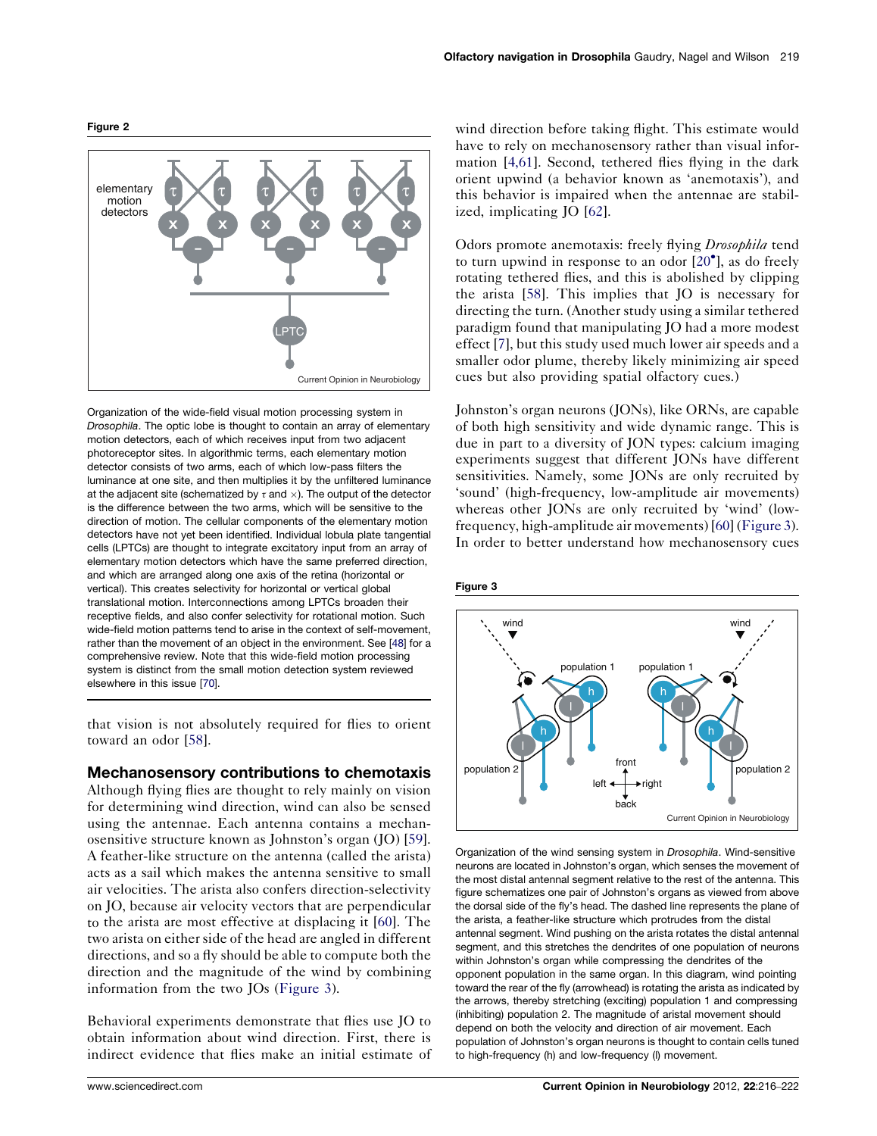<span id="page-3-0"></span>



Organization of the wide-field visual motion processing system in Drosophila. The optic lobe is thought to contain an array of elementary motion detectors, each of which receives input from two adjacent photoreceptor sites. In algorithmic terms, each elementary motion detector consists of two arms, each of which low-pass filters the luminance at one site, and then multiplies it by the unfiltered luminance at the adjacent site (schematized by  $\tau$  and  $\times$ ). The output of the detector is the difference between the two arms, which will be sensitive to the direction of motion. The cellular components of the elementary motion detectors have not yet been identified. Individual lobula plate tangential cells (LPTCs) are thought to integrate excitatory input from an array of elementary motion detectors which have the same preferred direction, and which are arranged along one axis of the retina (horizontal or vertical). This creates selectivity for horizontal or vertical global translational motion. Interconnections among LPTCs broaden their receptive fields, and also confer selectivity for rotational motion. Such wide-field motion patterns tend to arise in the context of self-movement, rather than the movement of an object in the environment. See [[48](#page-5-0)] for a comprehensive review. Note that this wide-field motion processing system is distinct from the small motion detection system reviewed elsewhere in this issue [[70\]](#page-6-0).

that vision is not absolutely required for flies to orient toward an odor [[58\]](#page-6-0).

## Mechanosensory contributions to chemotaxis

Although flying flies are thought to rely mainly on vision for determining wind direction, wind can also be sensed using the antennae. Each antenna contains a mechanosensitive structure known as Johnston's organ (JO) [\[59](#page-6-0)]. A feather-like structure on the antenna (called the arista) acts as a sail which makes the antenna sensitive to small air velocities. The arista also confers direction-selectivity on JO, because air velocity vectors that are perpendicular to the arista are most effective at displacing it [[60\]](#page-6-0). The two arista on either side of the head are angled in different directions, and so a fly should be able to compute both the direction and the magnitude of the wind by combining information from the two JOs (Figure 3).

Behavioral experiments demonstrate that flies use JO to obtain information about wind direction. First, there is indirect evidence that flies make an initial estimate of

wind direction before taking flight. This estimate would have to rely on mechanosensory rather than visual information [\[4,61\]](#page-4-0). Second, tethered flies flying in the dark orient upwind (a behavior known as 'anemotaxis'), and this behavior is impaired when the antennae are stabilized, implicating JO [\[62](#page-6-0)].

Odors promote anemotaxis: freely flying Drosophila tend to turn upwind in response to an odor  $[20^{\circ}]$  $[20^{\circ}]$ , as do freely rotating tethered flies, and this is abolished by clipping the arista [\[58](#page-6-0)]. This implies that JO is necessary for directing the turn. (Another study using a similar tethered paradigm found that manipulating JO had a more modest effect [[7\]](#page-4-0), but this study used much lower air speeds and a smaller odor plume, thereby likely minimizing air speed cues but also providing spatial olfactory cues.)

Johnston's organ neurons (JONs), like ORNs, are capable of both high sensitivity and wide dynamic range. This is due in part to a diversity of JON types: calcium imaging experiments suggest that different JONs have different sensitivities. Namely, some JONs are only recruited by 'sound' (high-frequency, low-amplitude air movements) whereas other JONs are only recruited by 'wind' (lowfrequency, high-amplitude air movements)[\[60\]](#page-6-0) (Figure 3). In order to better understand how mechanosensory cues

## Figure 3



Organization of the wind sensing system in Drosophila. Wind-sensitive neurons are located in Johnston's organ, which senses the movement of the most distal antennal segment relative to the rest of the antenna. This figure schematizes one pair of Johnston's organs as viewed from above the dorsal side of the fly's head. The dashed line represents the plane of the arista, a feather-like structure which protrudes from the distal antennal segment. Wind pushing on the arista rotates the distal antennal segment, and this stretches the dendrites of one population of neurons within Johnston's organ while compressing the dendrites of the opponent population in the same organ. In this diagram, wind pointing toward the rear of the fly (arrowhead) is rotating the arista as indicated by the arrows, thereby stretching (exciting) population 1 and compressing (inhibiting) population 2. The magnitude of aristal movement should depend on both the velocity and direction of air movement. Each population of Johnston's organ neurons is thought to contain cells tuned to high-frequency (h) and low-frequency (l) movement.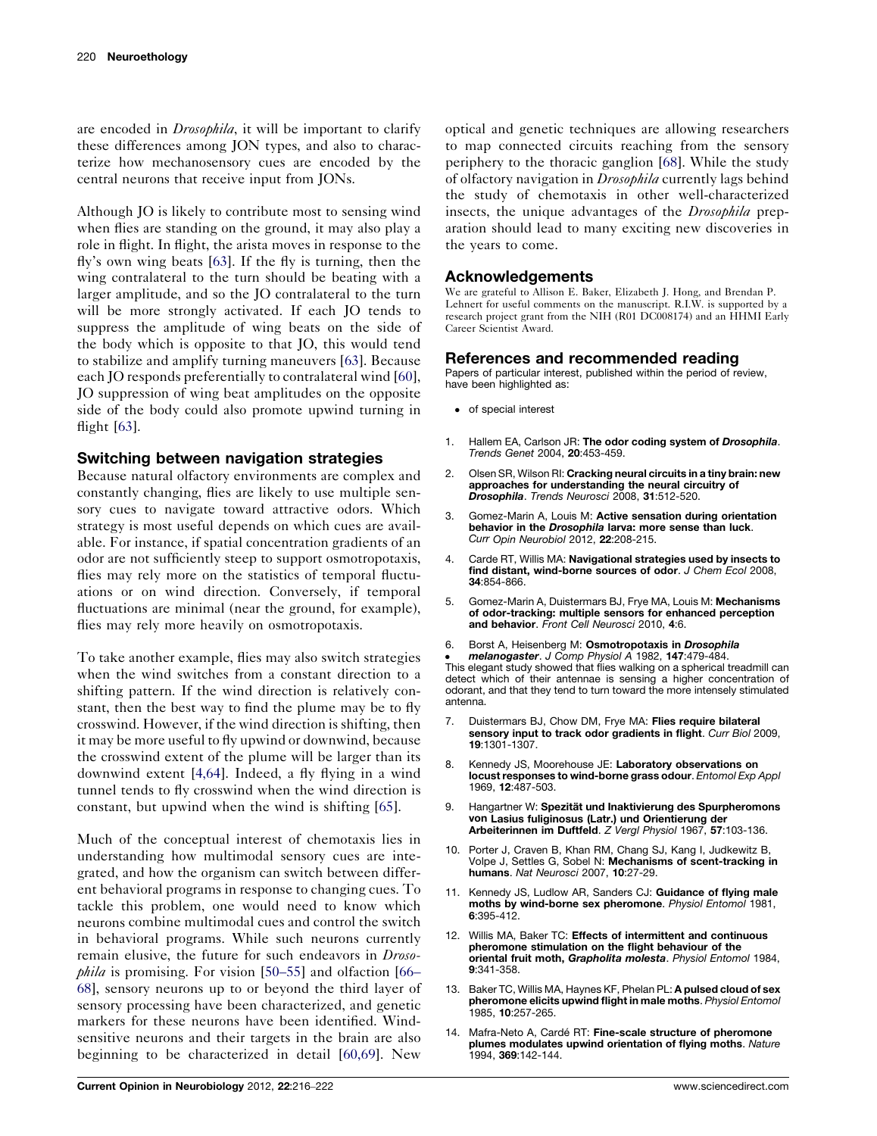<span id="page-4-0"></span>are encoded in *Drosophila*, it will be important to clarify these differences among JON types, and also to characterize how mechanosensory cues are encoded by the central neurons that receive input from JONs.

Although JO is likely to contribute most to sensing wind when flies are standing on the ground, it may also play a role in flight. In flight, the arista moves in response to the fly's own wing beats [[63\]](#page-6-0). If the fly is turning, then the wing contralateral to the turn should be beating with a larger amplitude, and so the JO contralateral to the turn will be more strongly activated. If each JO tends to suppress the amplitude of wing beats on the side of the body which is opposite to that JO, this would tend to stabilize and amplify turning maneuvers [[63\]](#page-6-0). Because each JO responds preferentially to contralateral wind [\[60](#page-6-0)], JO suppression of wing beat amplitudes on the opposite side of the body could also promote upwind turning in flight  $[63]$  $[63]$ .

## Switching between navigation strategies

Because natural olfactory environments are complex and constantly changing, flies are likely to use multiple sensory cues to navigate toward attractive odors. Which strategy is most useful depends on which cues are available. For instance, if spatial concentration gradients of an odor are not sufficiently steep to support osmotropotaxis, flies may rely more on the statistics of temporal fluctuations or on wind direction. Conversely, if temporal fluctuations are minimal (near the ground, for example), flies may rely more heavily on osmotropotaxis.

To take another example, flies may also switch strategies when the wind switches from a constant direction to a shifting pattern. If the wind direction is relatively constant, then the best way to find the plume may be to fly crosswind. However, if the wind direction is shifting, then it may be more useful to fly upwind or downwind, because the crosswind extent of the plume will be larger than its downwind extent [4,64]. Indeed, a fly flying in a wind tunnel tends to fly crosswind when the wind direction is constant, but upwind when the wind is shifting [[65\]](#page-6-0).

Much of the conceptual interest of chemotaxis lies in understanding how multimodal sensory cues are integrated, and how the organism can switch between different behavioral programs in response to changing cues. To tackle this problem, one would need to know which neurons combine multimodal cues and control the switch in behavioral programs. While such neurons currently remain elusive, the future for such endeavors in Droso*phila* is promising. For vision  $[50-55]$  $[50-55]$  and olfaction  $[66 [66-$ [68\]](#page-6-0), sensory neurons up to or beyond the third layer of sensory processing have been characterized, and genetic markers for these neurons have been identified. Windsensitive neurons and their targets in the brain are also beginning to be characterized in detail [[60,69](#page-6-0)]. New

optical and genetic techniques are allowing researchers to map connected circuits reaching from the sensory periphery to the thoracic ganglion [\[68](#page-6-0)]. While the study of olfactory navigation in Drosophila currently lags behind the study of chemotaxis in other well-characterized insects, the unique advantages of the *Drosophila* preparation should lead to many exciting new discoveries in the years to come.

## Acknowledgements

We are grateful to Allison E. Baker, Elizabeth J. Hong, and Brendan P. Lehnert for useful comments on the manuscript. R.I.W. is supported by a research project grant from the NIH (R01 DC008174) and an HHMI Early Career Scientist Award.

## References and recommended reading

Papers of particular interest, published within the period of review, have been highlighted as:

- of special interest
- 1. Hallem EA, Carlson JR: The odor coding system of Drosophila. Trends Genet 2004, 20:453-459.
- 2. Olsen SR, Wilson RI: Cracking neural circuits in a tiny brain: new approaches for understanding the neural circuitry of Drosophila. Trends Neurosci 2008, 31:512-520.
- 3. Gomez-Marin A, Louis M: Active sensation during orientation behavior in the Drosophila larva: more sense than luck. Curr Opin Neurobiol 2012, 22:208-215.
- 4. Carde RT, Willis MA: Navigational strategies used by insects to find distant, wind-borne sources of odor. J Chem Ecol 2008, 34:854-866.
- 5. Gomez-Marin A, Duistermars BJ, Frye MA, Louis M: Mechanisms of odor-tracking: multiple sensors for enhanced perception and behavior. Front Cell Neurosci 2010, 4:6.
- 6. Borst A, Heisenberg M: Osmotropotaxis in Drosophila
- melanogaster. J Comp Physiol A 1982, 147:479-484

• melanogaster. J Comp Physiol A 1982, 147:479-484.<br>This elegant study showed that flies walking on a spherical treadmill can detect which of their antennae is sensing a higher concentration of odorant, and that they tend to turn toward the more intensely stimulated antenna.

- 7. Duistermars BJ, Chow DM, Frye MA: Flies require bilateral sensory input to track odor gradients in flight. Curr Biol 2009, 19:1301-1307.
- 8. Kennedy JS, Moorehouse JE: Laboratory observations on locust responses to wind-borne grass odour. Entomol Exp Appl 1969, 12:487-503.
- 9. Hangartner W: Spezität und Inaktivierung des Spurpheromons von Lasius fuliginosus (Latr.) und Orientierung der<br>Arbeiterinnen im Duftfeld. *Z Vergl Physiol* 1967, 57:103-136.
- 10. Porter J, Craven B, Khan RM, Chang SJ, Kang I, Judkewitz B, Volpe J, Settles G, Sobel N: Mechanisms of scent-tracking in humans. Nat Neurosci 2007, 10:27-29.
- 11. Kennedy JS, Ludlow AR, Sanders CJ: Guidance of flying male moths by wind-borne sex pheromone. Physiol Entomol 1981, 6:395-412.
- 12. Willis MA, Baker TC: Effects of intermittent and continuous pheromone stimulation on the flight behaviour of the oriental fruit moth, Grapholita molesta. Physiol Entomol 1984, 9:341-358.
- 13. Baker TC, Willis MA, Haynes KF, Phelan PL: A pulsed cloud of sex pheromone elicits upwind flight in male moths. Physiol Entomol 1985, 10:257-265.
- 14. Mafra-Neto A, Cardé RT: Fine-scale structure of pheromone plumes modulates upwind orientation of flying moths. Nature 1994, 369:142-144.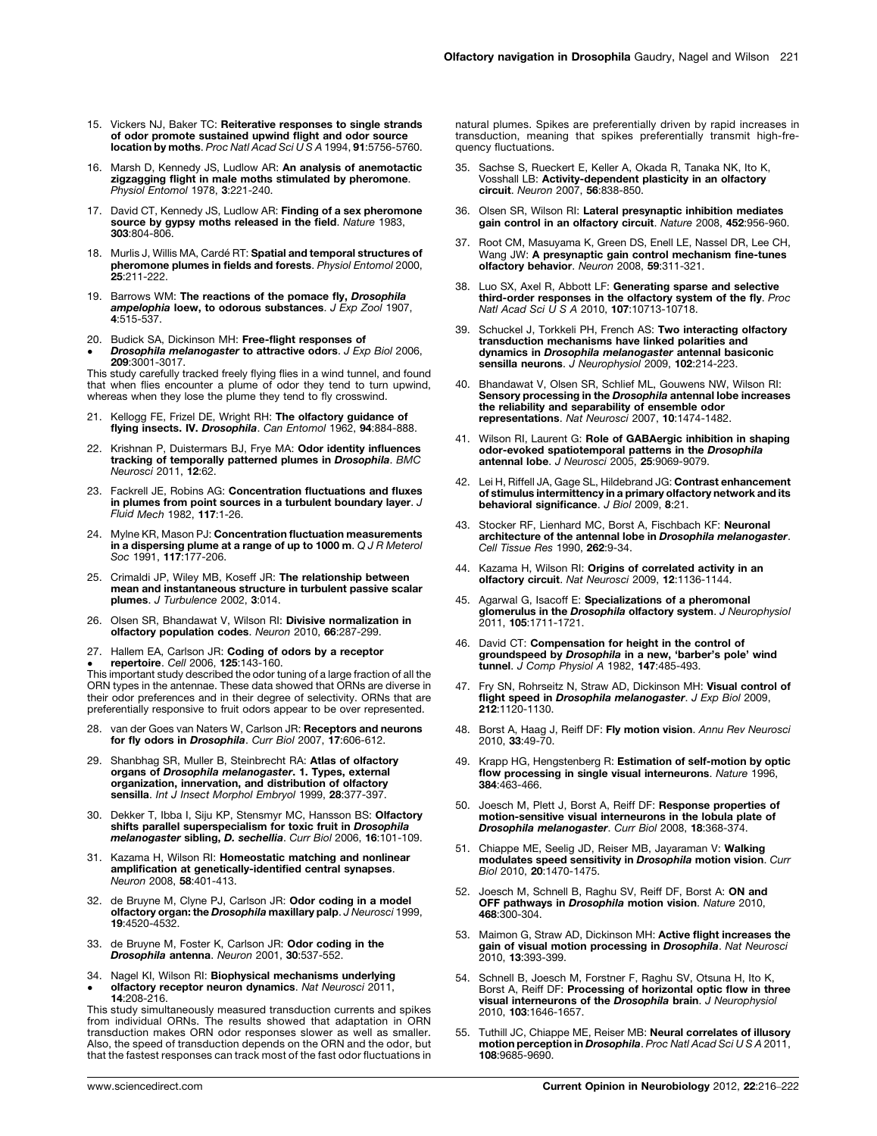- <span id="page-5-0"></span>15. Vickers NJ, Baker TC: Reiterative responses to single strands of odor promote sustained upwind flight and odor source location by moths. Proc Natl Acad Sci U S A 1994, 91:5756-5760.
- 16. Marsh D, Kennedy JS, Ludlow AR: An analysis of anemotactic zigzagging flight in male moths stimulated by pheromone. Physiol Entomol 1978, 3:221-240.
- 17. David CT, Kennedy JS, Ludlow AR: Finding of a sex pheromone source by gypsy moths released in the field. Nature 1983, 303:804-806.
- 18. Murlis J, Willis MA, Cardé RT: Spatial and temporal structures of **pheromone plumes in fields and forests**. *Physiol Entomol* 2000,<br>**25**:211-222.
- 19. Barrows WM: The reactions of the pomace fly, Drosophila ampelophia loew, to odorous substances. J Exp Zool 1907, 4:515-537.
- 20. Budick SA, Dickinson MH: Free-flight responses of
- $\bullet$ Drosophila melanogaster to attractive odors. J Exp Biol 2006, 209:3001-3017.

This study carefully tracked freely flying flies in a wind tunnel, and found that when flies encounter a plume of odor they tend to turn upwind, whereas when they lose the plume they tend to fly crosswind.

- 21. Kellogg FE, Frizel DE, Wright RH: The olfactory guidance of flying insects. IV. Drosophila. Can Entomol 1962, 94:884-888.
- 22. Krishnan P, Duistermars BJ, Frye MA: Odor identity influences tracking of temporally patterned plumes in Drosophila. BMC Neurosci 2011, 12:62.
- 23. Fackrell JE, Robins AG: Concentration fluctuations and fluxes in plumes from point sources in a turbulent boundary layer. J Fluid Mech 1982, 117:1-26.
- 24. Mylne KR, Mason PJ: Concentration fluctuation measurements in a dispersing plume at a range of up to 1000 m. Q J R Meterol Soc 1991, 117:177-206.
- 25. Crimaldi JP, Wiley MB, Koseff JR: The relationship between mean and instantaneous structure in turbulent passive scalar plumes. J Turbulence 2002, 3:014.
- 26. Olsen SR, Bhandawat V, Wilson RI: Divisive normalization in olfactory population codes. Neuron 2010, 66:287-299.
- 27. Hallem EA, Carlson JR: Coding of odors by a receptor repertoire. Cell 2006, 125:143-160.

- This important study described the odor tuning of a large fraction of all the ORN types in the antennae. These data showed that ORNs are diverse in their odor preferences and in their degree of selectivity. ORNs that are preferentially responsive to fruit odors appear to be over represented.

- 28. van der Goes van Naters W, Carlson JR: Receptors and neurons for fly odors in Drosophila. Curr Biol 2007, 17:606-612.
- 29. Shanbhag SR, Muller B, Steinbrecht RA: Atlas of olfactory organs of Drosophila melanogaster. 1. Types, external organization, innervation, and distribution of olfactory sensilla. Int J Insect Morphol Embryol 1999, 28:377-397.
- 30. Dekker T, Ibba I, Siju KP, Stensmyr MC, Hansson BS: Olfactory shifts parallel superspecialism for toxic fruit in Drosophila melanogaster sibling, D. sechellia. Curr Biol 2006, 16:101-109.
- 31. Kazama H, Wilson RI: Homeostatic matching and nonlinear amplification at genetically-identified central synapses. Neuron 2008, 58:401-413.
- 32. de Bruyne M, Clyne PJ, Carlson JR: Odor coding in a model olfactory organ: the Drosophila maxillary palp. J Neurosci 1999, 19:4520-4532.
- 33. de Bruyne M, Foster K, Carlson JR: Odor coding in the Drosophila antenna. Neuron 2001, 30:537-552.
- 34. Nagel KI, Wilson RI: **Biophysical mechanisms underlying**  $\bullet$ olfactory receptor neuron dynamics. Nat Neurosci 2011, 14:208-216.

This study simultaneously measured transduction currents and spikes from individual ORNs. The results showed that adaptation in ORN transduction makes ORN odor responses slower as well as smaller. Also, the speed of transduction depends on the ORN and the odor, but that the fastest responses can track most of the fast odor fluctuations in natural plumes. Spikes are preferentially driven by rapid increases in transduction, meaning that spikes preferentially transmit high-frequency fluctuations.

- 35. Sachse S, Rueckert E, Keller A, Okada R, Tanaka NK, Ito K, Vosshall LB: Activity-dependent plasticity in an olfactory circuit. Neuron 2007, 56:838-850.
- 36. Olsen SR, Wilson RI: Lateral presynaptic inhibition mediates gain control in an olfactory circuit. Nature 2008, 452:956-960.
- 37. Root CM, Masuyama K, Green DS, Enell LE, Nassel DR, Lee CH, Wang JW: **A presynaptic gain control mechanism fine-tunes**<br>**olfactory behavior**. Ne*uron* 2008, 59:311-321.
- 38. Luo SX, Axel R, Abbott LF: Generating sparse and selective third-order responses in the olfactory system of the fly. Proc Natl Acad Sci U S A 2010, 107:10713-10718.
- 39. Schuckel J, Torkkeli PH, French AS: Two interacting olfactory transduction mechanisms have linked polarities and dynamics in Drosophila melanogaster antennal basiconic sensilla neurons. J Neurophysiol 2009, 102:214-223.
- 40. Bhandawat V, Olsen SR, Schlief ML, Gouwens NW, Wilson RI: Sensory processing in the Drosophila antennal lobe increases the reliability and separability of ensemble odor representations. Nat Neurosci 2007, 10:1474-1482.
- 41. Wilson RI, Laurent G: Role of GABAergic inhibition in shaping odor-evoked spatiotemporal patterns in the Drosophila antennal lobe. J Neurosci 2005, 25:9069-9079.
- 42. Lei H, Riffell JA, Gage SL, Hildebrand JG: Contrast enhancement of stimulus intermittency in a primary olfactory network and its behavioral significance. J Biol 2009, 8:21.
- 43. Stocker RF, Lienhard MC, Borst A, Fischbach KF: Neuronal architecture of the antennal lobe in Drosophila melanogaster. Cell Tissue Res 1990, 262:9-34.
- 44. Kazama H, Wilson RI: Origins of correlated activity in an olfactory circuit. Nat Neurosci 2009, 12:1136-1144.
- 45. Agarwal G, Isacoff E: Specializations of a pheromonal **glomerulus in the** *Drosophila* **olfactory system**. *J Neurophysiol*<br>2011, **105**:1711-1721.
- 46. David CT: Compensation for height in the control of groundspeed by Drosophila in a new, 'barber's pole' wind tunnel. J Comp Physiol A 1982, 147:485-493.
- 47. Fry SN, Rohrseitz N, Straw AD, Dickinson MH: Visual control of flight speed in Drosophila melanogaster. J Exp Biol 2009, 212:1120-1130.
- 48. Borst A, Haag J, Reiff DF: Fly motion vision. Annu Rev Neurosci 2010, 33:49-70.
- 49. Krapp HG, Hengstenberg R: Estimation of self-motion by optic flow processing in single visual interneurons. Nature 1996, 384:463-466.
- 50. Joesch M, Plett J, Borst A, Reiff DF: Response properties of motion-sensitive visual interneurons in the lobula plate of Drosophila melanogaster. Curr Biol 2008, 18:368-374.
- 51. Chiappe ME, Seelig JD, Reiser MB, Jayaraman V: Walking modulates speed sensitivity in Drosophila motion vision. Curr Biol 2010, 20:1470-1475.
- 52. Joesch M, Schnell B, Raghu SV, Reiff DF, Borst A: ON and OFF pathways in Drosophila motion vision. Nature 2010, 468:300-304.
- 53. Maimon G, Straw AD, Dickinson MH: Active flight increases the **gain of visual motion processing in Drosophila**. Nat Neurosci<br>2010, **13**:393-399.
- 54. Schnell B, Joesch M, Forstner F, Raghu SV, Otsuna H, Ito K, Borst A, Reiff DF: Processing of horizontal optic flow in three visual interneurons of the Drosophila brain. J Neurophysiol 2010, 103:1646-1657.
- 55. Tuthill JC, Chiappe ME, Reiser MB: Neural correlates of illusory motion perception in Drosophila. Proc Natl Acad Sci U S A 2011, 108:9685-9690.